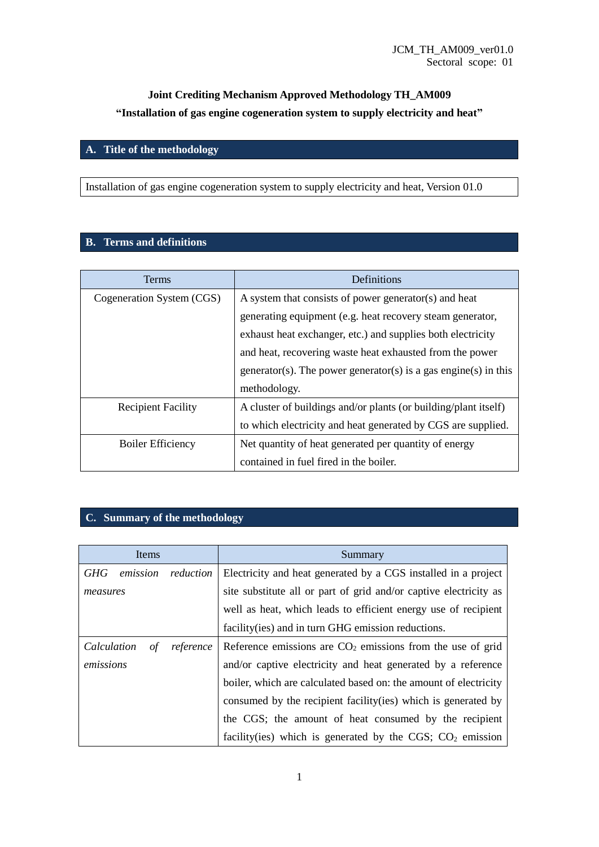# **Joint Crediting Mechanism Approved Methodology TH\_AM009 "Installation of gas engine cogeneration system to supply electricity and heat"**

### **A. Title of the methodology**

Installation of gas engine cogeneration system to supply electricity and heat, Version 01.0

### **B. Terms and definitions**

| <b>Terms</b>              | Definitions                                                     |  |  |  |
|---------------------------|-----------------------------------------------------------------|--|--|--|
| Cogeneration System (CGS) | A system that consists of power generator(s) and heat           |  |  |  |
|                           | generating equipment (e.g. heat recovery steam generator,       |  |  |  |
|                           | exhaust heat exchanger, etc.) and supplies both electricity     |  |  |  |
|                           | and heat, recovering waste heat exhausted from the power        |  |  |  |
|                           | generator(s). The power generator(s) is a gas engine(s) in this |  |  |  |
|                           | methodology.                                                    |  |  |  |
| <b>Recipient Facility</b> | A cluster of buildings and/or plants (or building/plant itself) |  |  |  |
|                           | to which electricity and heat generated by CGS are supplied.    |  |  |  |
| <b>Boiler Efficiency</b>  | Net quantity of heat generated per quantity of energy           |  |  |  |
|                           | contained in fuel fired in the boiler.                          |  |  |  |

### **C. Summary of the methodology**

| Items             |           | Summary                                                           |  |  |  |  |
|-------------------|-----------|-------------------------------------------------------------------|--|--|--|--|
| GHG<br>emission   | reduction | Electricity and heat generated by a CGS installed in a project    |  |  |  |  |
| measures          |           | site substitute all or part of grid and/or captive electricity as |  |  |  |  |
|                   |           | well as heat, which leads to efficient energy use of recipient    |  |  |  |  |
|                   |           | facility (ies) and in turn GHG emission reductions.               |  |  |  |  |
| Calculation<br>οf | reference | Reference emissions are $CO2$ emissions from the use of grid      |  |  |  |  |
| emissions         |           | and/or captive electricity and heat generated by a reference      |  |  |  |  |
|                   |           | boiler, which are calculated based on: the amount of electricity  |  |  |  |  |
|                   |           | consumed by the recipient facility (ies) which is generated by    |  |  |  |  |
|                   |           | the CGS; the amount of heat consumed by the recipient             |  |  |  |  |
|                   |           | facility(ies) which is generated by the CGS; $CO2$ emission       |  |  |  |  |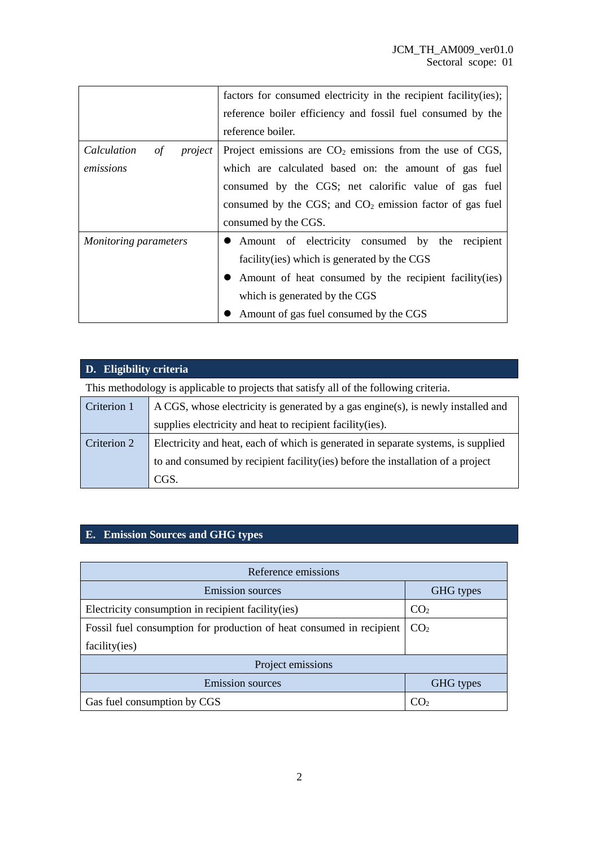|                                     | factors for consumed electricity in the recipient facility (ies); |  |  |  |  |  |
|-------------------------------------|-------------------------------------------------------------------|--|--|--|--|--|
|                                     | reference boiler efficiency and fossil fuel consumed by the       |  |  |  |  |  |
|                                     | reference boiler.                                                 |  |  |  |  |  |
| <i>Calculation</i><br>project<br>of | Project emissions are $CO2$ emissions from the use of CGS,        |  |  |  |  |  |
| emissions                           | which are calculated based on: the amount of gas fuel             |  |  |  |  |  |
|                                     | consumed by the CGS; net calorific value of gas fuel              |  |  |  |  |  |
|                                     | consumed by the CGS; and $CO2$ emission factor of gas fuel        |  |  |  |  |  |
|                                     | consumed by the CGS.                                              |  |  |  |  |  |
| Monitoring parameters               | • Amount of electricity consumed by the<br>recipient              |  |  |  |  |  |
|                                     | facility (ies) which is generated by the CGS                      |  |  |  |  |  |
|                                     | Amount of heat consumed by the recipient facility (ies)           |  |  |  |  |  |
|                                     | which is generated by the CGS                                     |  |  |  |  |  |
|                                     | Amount of gas fuel consumed by the CGS                            |  |  |  |  |  |

# **D. Eligibility criteria**

This methodology is applicable to projects that satisfy all of the following criteria.

| Criterion 1 | A CGS, whose electricity is generated by a gas engine(s), is newly installed and  |  |  |
|-------------|-----------------------------------------------------------------------------------|--|--|
|             | supplies electricity and heat to recipient facility (ies).                        |  |  |
| Criterion 2 | Electricity and heat, each of which is generated in separate systems, is supplied |  |  |
|             | to and consumed by recipient facility (ies) before the installation of a project  |  |  |
|             | CGS.                                                                              |  |  |

### **E. Emission Sources and GHG types**

| Reference emissions                                                  |                 |  |  |  |
|----------------------------------------------------------------------|-----------------|--|--|--|
| <b>Emission sources</b>                                              | GHG types       |  |  |  |
| Electricity consumption in recipient facility (ies)                  | CO <sub>2</sub> |  |  |  |
| Fossil fuel consumption for production of heat consumed in recipient | CO <sub>2</sub> |  |  |  |
| facility(ies)                                                        |                 |  |  |  |
| Project emissions                                                    |                 |  |  |  |
| <b>Emission sources</b>                                              | GHG types       |  |  |  |
| Gas fuel consumption by CGS                                          | CO <sub>2</sub> |  |  |  |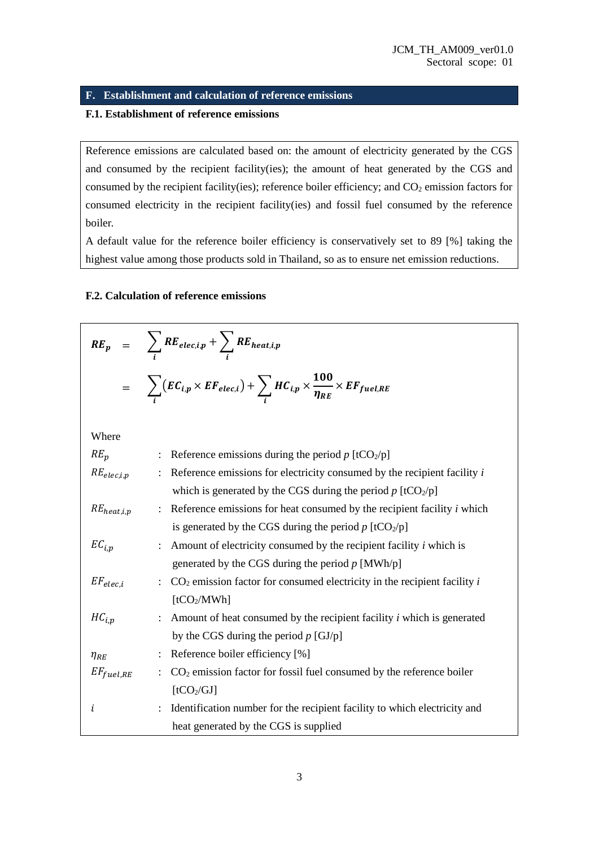### **F. Establishment and calculation of reference emissions**

#### **F.1. Establishment of reference emissions**

Reference emissions are calculated based on: the amount of electricity generated by the CGS and consumed by the recipient facility(ies); the amount of heat generated by the CGS and consumed by the recipient facility(ies); reference boiler efficiency; and  $CO<sub>2</sub>$  emission factors for consumed electricity in the recipient facility(ies) and fossil fuel consumed by the reference boiler.

A default value for the reference boiler efficiency is conservatively set to 89 [%] taking the highest value among those products sold in Thailand, so as to ensure net emission reductions.

#### **F.2. Calculation of reference emissions**

|                 | $RE_p = \sum_i RE_{elec,i,p} + \sum_i RE_{heat,i,p}$                                                            |
|-----------------|-----------------------------------------------------------------------------------------------------------------|
|                 | $= \sum_{i} (EC_{i,p} \times EF_{elec,i}) + \sum_{i} HC_{i,p} \times \frac{100}{\eta_{RE}} \times EF_{fuel,RE}$ |
| Where           |                                                                                                                 |
| $RE_p$          | : Reference emissions during the period $p$ [tCO <sub>2</sub> /p]                                               |
| $RE_{elec,i,p}$ | Reference emissions for electricity consumed by the recipient facility $i$                                      |
|                 | which is generated by the CGS during the period $p$ [tCO <sub>2</sub> /p]                                       |
| $RE_{heat,i,p}$ | : Reference emissions for heat consumed by the recipient facility $i$ which                                     |
|                 | is generated by the CGS during the period $p$ [tCO <sub>2</sub> /p]                                             |
| $EC_{i,p}$      | : Amount of electricity consumed by the recipient facility $i$ which is                                         |
|                 | generated by the CGS during the period $p$ [MWh/p]                                                              |
| $EF_{elec.i}$   | $CO2$ emission factor for consumed electricity in the recipient facility i                                      |
|                 | [tCO <sub>2</sub> /MWh]                                                                                         |
| $HC_{i,p}$      | Amount of heat consumed by the recipient facility <i>i</i> which is generated                                   |
|                 | by the CGS during the period $p$ [GJ/p]                                                                         |
| $\eta_{RE}$     | : Reference boiler efficiency [%]                                                                               |
| $EF_{fuel,RE}$  | $CO2$ emission factor for fossil fuel consumed by the reference boiler                                          |
|                 | [tCO <sub>2</sub> /GI]                                                                                          |
| i               | Identification number for the recipient facility to which electricity and                                       |
|                 | heat generated by the CGS is supplied                                                                           |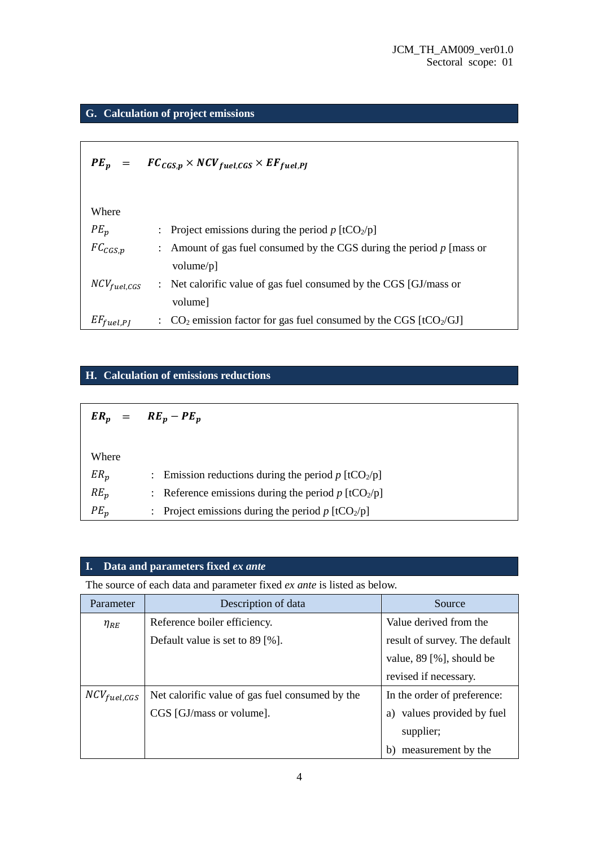# **G. Calculation of project emissions**

|                   | $PE_p = FC_{CGS,p} \times NCV_{fuel, CGS} \times EF_{fuel, PI}$                          |
|-------------------|------------------------------------------------------------------------------------------|
| Where             |                                                                                          |
| $PE_n$            | : Project emissions during the period p $[tCO_2/p]$                                      |
| $FC_{CGS,p}$      | : Amount of gas fuel consumed by the CGS during the period $p$ [mass or<br>volume/ $p$ ] |
| $NCV_{fuel, CGS}$ | : Net calorific value of gas fuel consumed by the CGS [GJ/mass or<br>volume              |
| $EF_{fuel, PJ}$   | : $CO_2$ emission factor for gas fuel consumed by the CGS [tCO <sub>2</sub> /GJ]         |

### **H. Calculation of emissions reductions**

|        | $ER_p = RE_p - PE_p$                                              |
|--------|-------------------------------------------------------------------|
|        |                                                                   |
| Where  |                                                                   |
| $ER_p$ | : Emission reductions during the period p $[tCO_2/p]$             |
| $RE_n$ | : Reference emissions during the period $p$ [tCO <sub>2</sub> /p] |
| $PE_n$ | : Project emissions during the period $p$ [tCO <sub>2</sub> /p]   |

### **I. Data and parameters fixed** *ex ante*

The source of each data and parameter fixed *ex ante* is listed as below.

| Parameter        | Description of data                             | Source                        |
|------------------|-------------------------------------------------|-------------------------------|
| $\eta_{RE}$      | Reference boiler efficiency.                    | Value derived from the        |
|                  | Default value is set to $89$ [%].               | result of survey. The default |
|                  |                                                 | value, $89$ [%], should be    |
|                  |                                                 | revised if necessary.         |
| $NCV_{fuel,GGS}$ | Net calorific value of gas fuel consumed by the | In the order of preference:   |
|                  | CGS [GJ/mass or volume].                        | values provided by fuel       |
|                  |                                                 | supplier;                     |
|                  |                                                 | measurement by the<br>b)      |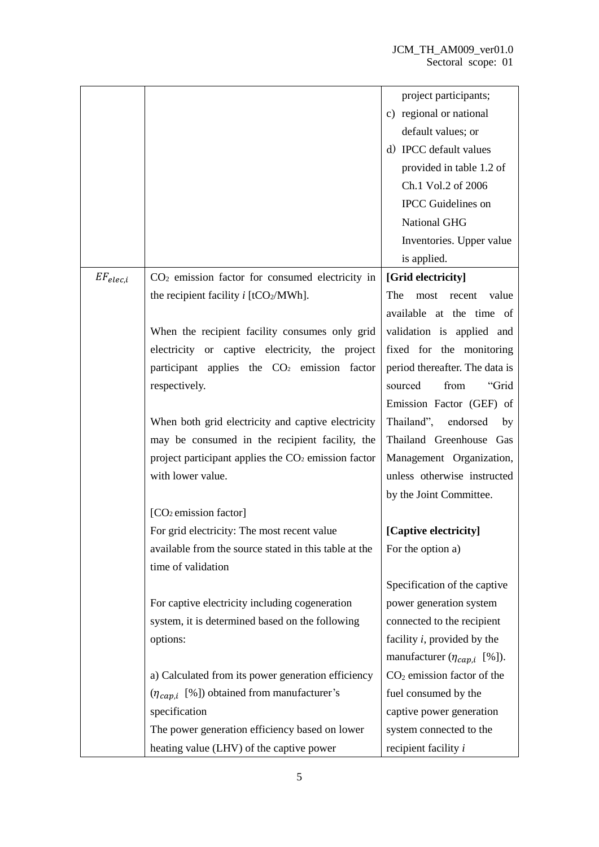|               |                                                                 | project participants;              |
|---------------|-----------------------------------------------------------------|------------------------------------|
|               |                                                                 | c) regional or national            |
|               |                                                                 | default values; or                 |
|               |                                                                 | d) IPCC default values             |
|               |                                                                 | provided in table 1.2 of           |
|               |                                                                 | Ch.1 Vol.2 of 2006                 |
|               |                                                                 | <b>IPCC</b> Guidelines on          |
|               |                                                                 | National GHG                       |
|               |                                                                 | Inventories. Upper value           |
|               |                                                                 | is applied.                        |
| $EF_{elec,i}$ | $CO2$ emission factor for consumed electricity in               | [Grid electricity]                 |
|               | the recipient facility $i$ [tCO <sub>2</sub> /MWh].             | The<br>value<br>most<br>recent     |
|               |                                                                 | available at the time of           |
|               | When the recipient facility consumes only grid                  | validation is applied and          |
|               | electricity or captive electricity, the project                 | fixed for the monitoring           |
|               | participant applies the CO <sub>2</sub> emission factor         | period thereafter. The data is     |
|               | respectively.                                                   | from<br>sourced<br>"Grid           |
|               |                                                                 | Emission Factor (GEF) of           |
|               | When both grid electricity and captive electricity              | Thailand",<br>endorsed<br>by       |
|               | may be consumed in the recipient facility, the                  | Thailand Greenhouse Gas            |
|               | project participant applies the CO <sub>2</sub> emission factor | Management Organization,           |
|               | with lower value.                                               | unless otherwise instructed        |
|               |                                                                 | by the Joint Committee.            |
|               | [CO <sub>2</sub> emission factor]                               |                                    |
|               | For grid electricity: The most recent value                     | [Captive electricity]              |
|               | available from the source stated in this table at the           | For the option a)                  |
|               | time of validation                                              |                                    |
|               |                                                                 | Specification of the captive       |
|               | For captive electricity including cogeneration                  | power generation system            |
|               | system, it is determined based on the following                 | connected to the recipient         |
|               | options:                                                        | facility $i$ , provided by the     |
|               |                                                                 | manufacturer $(\eta_{cap,i}$ [%]). |
|               | a) Calculated from its power generation efficiency              | $CO2$ emission factor of the       |
|               | $(\eta_{cap,i}$ [%]) obtained from manufacturer's               | fuel consumed by the               |
|               | specification                                                   | captive power generation           |
|               | The power generation efficiency based on lower                  | system connected to the            |
|               | heating value (LHV) of the captive power                        | recipient facility <i>i</i>        |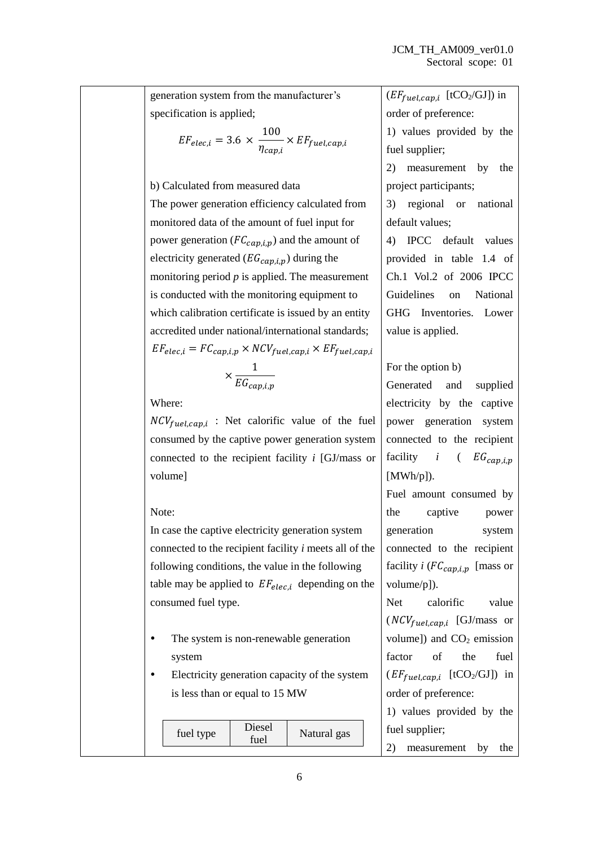generation system from the manufacturer's specification is applied;

$$
EF_{elec,i} = 3.6 \times \frac{100}{\eta_{cap,i}} \times EF_{fuel,cap,i}
$$

b) Calculated from measured data The power generation efficiency calculated from monitored data of the amount of fuel input for power generation ( $FC_{cap,i,p}$ ) and the amount of electricity generated ( $EG_{can,i,p}$ ) during the monitoring period *p* is applied. The measurement is conducted with the monitoring equipment to which calibration certificate is issued by an entity accredited under national/international standards;  $EF_{elec,i} = FC_{cap,i,p} \times NCV_{fuel,cap,i} \times EF_{fuel,cap,i}$ 1

$$
\times \frac{1}{EG_{cap,i,p}}
$$

Where:

 $NCV_{fuel, cap,i}$  : Net calorific value of the fuel consumed by the captive power generation system connected to the recipient facility *i* [GJ/mass or volume]

#### Note:

In case the captive electricity generation system connected to the recipient facility *i* meets all of the following conditions, the value in the following table may be applied to  $EF_{elec,i}$  depending on the consumed fuel type.

- The system is non-renewable generation system
- Electricity generation capacity of the system is less than or equal to 15 MW

| fuel type | Diesel<br>fuel | Natural gas |  | fuel supplier; |
|-----------|----------------|-------------|--|----------------|
|           |                |             |  | measureme      |

 $(EF_{fuel,cap,i}$  [tCO<sub>2</sub>/GJ]) in order of preference: 1) values provided by the fuel supplier; 2) measurement by the

project participants; 3) regional or national

default values;

4) IPCC default values provided in table 1.4 of Ch.1 Vol.2 of 2006 IPCC Guidelines on National GHG Inventories. Lower value is applied.

### For the option b)

Generated and supplied electricity by the captive power generation system connected to the recipient facility  $i$  (  $EG_{can,i,p}$ [MWh/p]).

Fuel amount consumed by the captive power generation system connected to the recipient facility  $i$  ( $FC_{can,i,n}$  [mass or volume/p]).

Net calorific value  $(NCV_{fuel, cap, i}$  [GJ/mass or volume]) and  $CO<sub>2</sub>$  emission factor of the fuel  $(EF_{fuel,cap,i}$  [tCO<sub>2</sub>/GJ]) in order of preference:

1) values provided by the

nt by the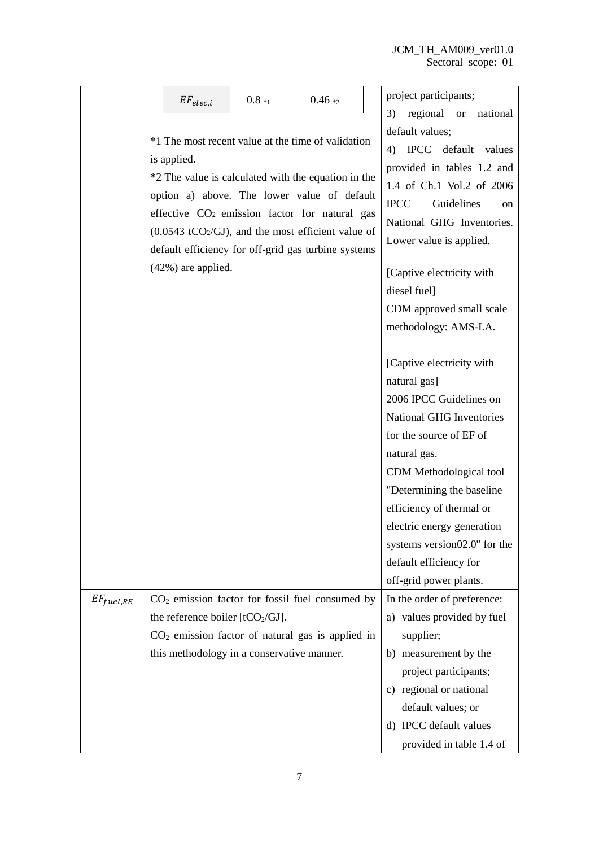|                | $EF_{elec,i}$                                                                              | $0.8_{1}$ | $0.46*_{2}$                                                                                                                                                                                                                                                                                                                                          | project participants;<br>national                                                                                                                                                                                                                                               |  |  |
|----------------|--------------------------------------------------------------------------------------------|-----------|------------------------------------------------------------------------------------------------------------------------------------------------------------------------------------------------------------------------------------------------------------------------------------------------------------------------------------------------------|---------------------------------------------------------------------------------------------------------------------------------------------------------------------------------------------------------------------------------------------------------------------------------|--|--|
|                | is applied.<br>$(42%)$ are applied.                                                        |           | *1 The most recent value at the time of validation<br>*2 The value is calculated with the equation in the<br>option a) above. The lower value of default<br>effective CO <sub>2</sub> emission factor for natural gas<br>$(0.0543 \text{ tCO}_2/\text{GJ})$ , and the most efficient value of<br>default efficiency for off-grid gas turbine systems | regional or<br>3)<br>default values;<br>IPCC default values<br>4)<br>provided in tables 1.2 and<br>1.4 of Ch.1 Vol.2 of 2006<br><b>IPCC</b><br>Guidelines<br><sub>on</sub><br>National GHG Inventories.<br>Lower value is applied.<br>[Captive electricity with<br>diesel fuel] |  |  |
|                |                                                                                            |           |                                                                                                                                                                                                                                                                                                                                                      | CDM approved small scale<br>methodology: AMS-I.A.                                                                                                                                                                                                                               |  |  |
|                |                                                                                            |           |                                                                                                                                                                                                                                                                                                                                                      | [Captive electricity with<br>natural gas]<br>2006 IPCC Guidelines on<br><b>National GHG Inventories</b><br>for the source of EF of<br>natural gas.<br>CDM Methodological tool<br>"Determining the baseline                                                                      |  |  |
|                |                                                                                            |           |                                                                                                                                                                                                                                                                                                                                                      | efficiency of thermal or<br>electric energy generation<br>systems version02.0" for the<br>default efficiency for                                                                                                                                                                |  |  |
|                |                                                                                            |           |                                                                                                                                                                                                                                                                                                                                                      | off-grid power plants.                                                                                                                                                                                                                                                          |  |  |
| $EF_{fuel,RE}$ | the reference boiler [tCO <sub>2</sub> /GJ].<br>this methodology in a conservative manner. |           | $CO2$ emission factor for fossil fuel consumed by<br>$CO2$ emission factor of natural gas is applied in                                                                                                                                                                                                                                              | In the order of preference:<br>a) values provided by fuel<br>supplier;<br>b) measurement by the<br>project participants;                                                                                                                                                        |  |  |
|                |                                                                                            |           |                                                                                                                                                                                                                                                                                                                                                      | c) regional or national<br>default values; or<br>d) IPCC default values<br>provided in table 1.4 of                                                                                                                                                                             |  |  |